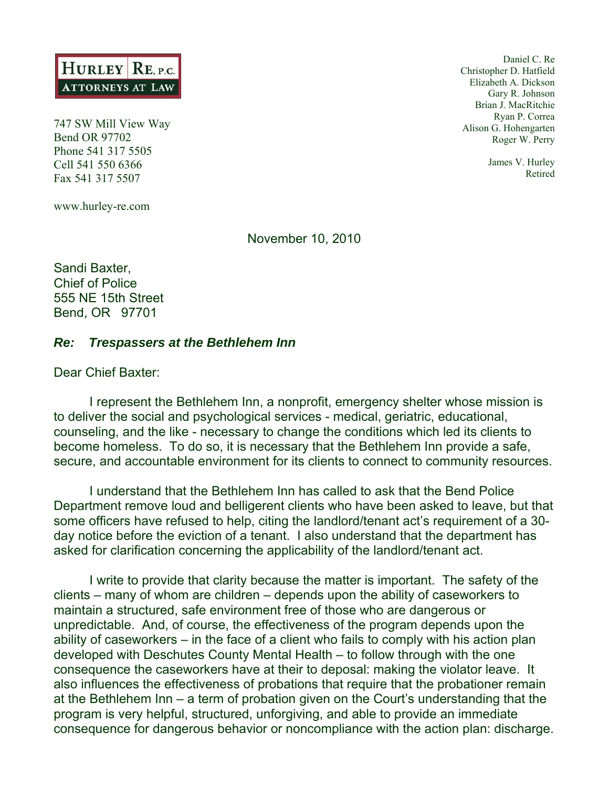

747 SW Mill View Way Bend OR 97702 Phone 541 317 5505 Cell 541 550 6366 Fax 541 317 5507

www.hurley-re.com

Daniel C. Re Christopher D. Hatfield Elizabeth A. Dickson Gary R. Johnson Brian J. MacRitchie Ryan P. Correa Alison G. Hohengarten Roger W. Perry

> James V. Hurley Retired

November 10, 2010

Sandi Baxter, Chief of Police 555 NE 15th Street Bend, OR 97701

## *Re: Trespassers at the Bethlehem Inn*

Dear Chief Baxter:

 I represent the Bethlehem Inn, a nonprofit, emergency shelter whose mission is to deliver the social and psychological services - medical, geriatric, educational, counseling, and the like - necessary to change the conditions which led its clients to become homeless. To do so, it is necessary that the Bethlehem Inn provide a safe, secure, and accountable environment for its clients to connect to community resources.

I understand that the Bethlehem Inn has called to ask that the Bend Police Department remove loud and belligerent clients who have been asked to leave, but that some officers have refused to help, citing the landlord/tenant act's requirement of a 30 day notice before the eviction of a tenant. I also understand that the department has asked for clarification concerning the applicability of the landlord/tenant act.

 I write to provide that clarity because the matter is important. The safety of the clients – many of whom are children – depends upon the ability of caseworkers to maintain a structured, safe environment free of those who are dangerous or unpredictable. And, of course, the effectiveness of the program depends upon the ability of caseworkers – in the face of a client who fails to comply with his action plan developed with Deschutes County Mental Health – to follow through with the one consequence the caseworkers have at their to deposal: making the violator leave. It also influences the effectiveness of probations that require that the probationer remain at the Bethlehem Inn – a term of probation given on the Court's understanding that the program is very helpful, structured, unforgiving, and able to provide an immediate consequence for dangerous behavior or noncompliance with the action plan: discharge.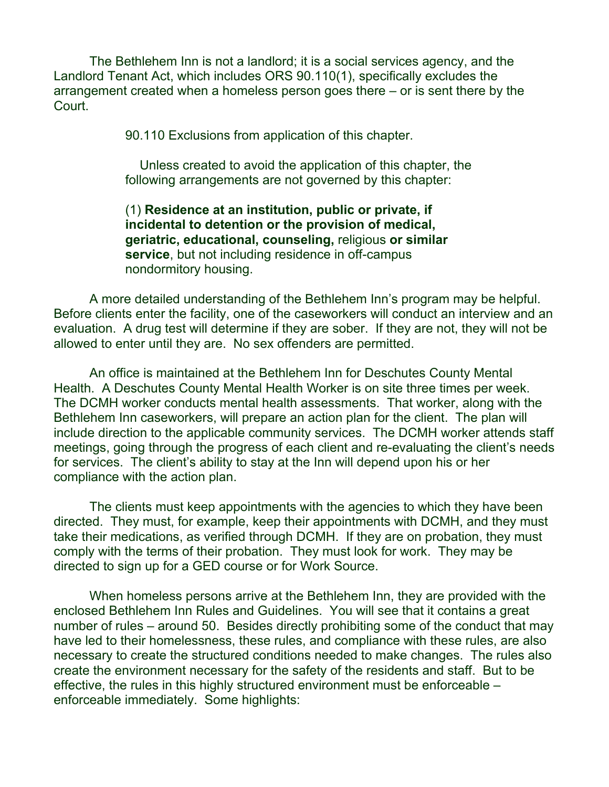The Bethlehem Inn is not a landlord; it is a social services agency, and the Landlord Tenant Act, which includes ORS 90.110(1), specifically excludes the arrangement created when a homeless person goes there – or is sent there by the Court.

90.110 Exclusions from application of this chapter.

 Unless created to avoid the application of this chapter, the following arrangements are not governed by this chapter:

(1) **Residence at an institution, public or private, if incidental to detention or the provision of medical, geriatric, educational, counseling,** religious **or similar service**, but not including residence in off-campus nondormitory housing.

A more detailed understanding of the Bethlehem Inn's program may be helpful. Before clients enter the facility, one of the caseworkers will conduct an interview and an evaluation. A drug test will determine if they are sober. If they are not, they will not be allowed to enter until they are. No sex offenders are permitted.

An office is maintained at the Bethlehem Inn for Deschutes County Mental Health. A Deschutes County Mental Health Worker is on site three times per week. The DCMH worker conducts mental health assessments. That worker, along with the Bethlehem Inn caseworkers, will prepare an action plan for the client. The plan will include direction to the applicable community services. The DCMH worker attends staff meetings, going through the progress of each client and re-evaluating the client's needs for services. The client's ability to stay at the Inn will depend upon his or her compliance with the action plan.

The clients must keep appointments with the agencies to which they have been directed. They must, for example, keep their appointments with DCMH, and they must take their medications, as verified through DCMH. If they are on probation, they must comply with the terms of their probation. They must look for work. They may be directed to sign up for a GED course or for Work Source.

When homeless persons arrive at the Bethlehem Inn, they are provided with the enclosed Bethlehem Inn Rules and Guidelines. You will see that it contains a great number of rules – around 50. Besides directly prohibiting some of the conduct that may have led to their homelessness, these rules, and compliance with these rules, are also necessary to create the structured conditions needed to make changes. The rules also create the environment necessary for the safety of the residents and staff. But to be effective, the rules in this highly structured environment must be enforceable – enforceable immediately. Some highlights: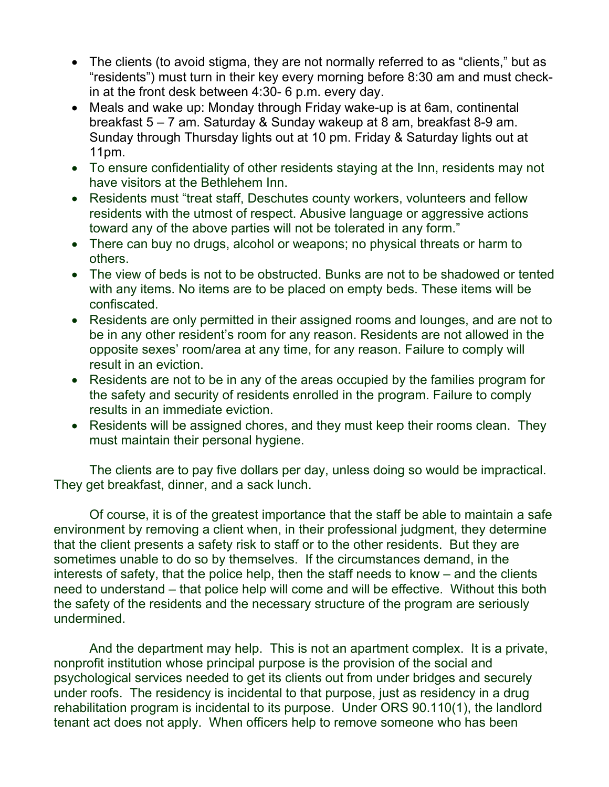- The clients (to avoid stigma, they are not normally referred to as "clients," but as "residents") must turn in their key every morning before 8:30 am and must checkin at the front desk between 4:30- 6 p.m. every day.
- Meals and wake up: Monday through Friday wake-up is at 6am, continental breakfast 5 – 7 am. Saturday & Sunday wakeup at 8 am, breakfast 8-9 am. Sunday through Thursday lights out at 10 pm. Friday & Saturday lights out at 11pm.
- To ensure confidentiality of other residents staying at the Inn, residents may not have visitors at the Bethlehem Inn.
- Residents must "treat staff, Deschutes county workers, volunteers and fellow residents with the utmost of respect. Abusive language or aggressive actions toward any of the above parties will not be tolerated in any form."
- There can buy no drugs, alcohol or weapons; no physical threats or harm to others.
- The view of beds is not to be obstructed. Bunks are not to be shadowed or tented with any items. No items are to be placed on empty beds. These items will be confiscated.
- Residents are only permitted in their assigned rooms and lounges, and are not to be in any other resident's room for any reason. Residents are not allowed in the opposite sexes' room/area at any time, for any reason. Failure to comply will result in an eviction.
- Residents are not to be in any of the areas occupied by the families program for the safety and security of residents enrolled in the program. Failure to comply results in an immediate eviction.
- Residents will be assigned chores, and they must keep their rooms clean. They must maintain their personal hygiene.

The clients are to pay five dollars per day, unless doing so would be impractical. They get breakfast, dinner, and a sack lunch.

Of course, it is of the greatest importance that the staff be able to maintain a safe environment by removing a client when, in their professional judgment, they determine that the client presents a safety risk to staff or to the other residents. But they are sometimes unable to do so by themselves. If the circumstances demand, in the interests of safety, that the police help, then the staff needs to know – and the clients need to understand – that police help will come and will be effective. Without this both the safety of the residents and the necessary structure of the program are seriously undermined.

And the department may help. This is not an apartment complex. It is a private, nonprofit institution whose principal purpose is the provision of the social and psychological services needed to get its clients out from under bridges and securely under roofs. The residency is incidental to that purpose, just as residency in a drug rehabilitation program is incidental to its purpose. Under ORS 90.110(1), the landlord tenant act does not apply. When officers help to remove someone who has been